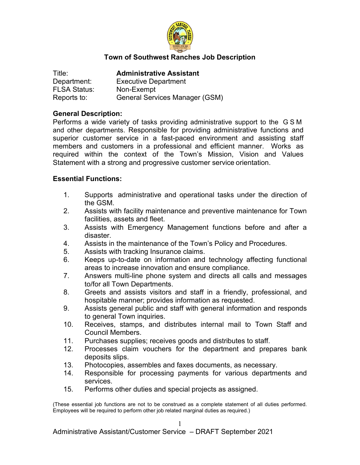

## **Town of Southwest Ranches Job Description**

| Title:              | <b>Administrative Assistant</b> |
|---------------------|---------------------------------|
| Department:         | <b>Executive Department</b>     |
| <b>FLSA Status:</b> | Non-Exempt                      |
| Reports to:         | General Services Manager (GSM)  |

#### **General Description:**

Performs a wide variety of tasks providing administrative support to the G S M and other departments. Responsible for providing administrative functions and superior customer service in a fast-paced environment and assisting staff members and customers in a professional and efficient manner. Works as required within the context of the Town's Mission, Vision and Values Statement with a strong and progressive customer service orientation.

#### **Essential Functions:**

- 1. Supports administrative and operational tasks under the direction of the GSM.
- 2. Assists with facility maintenance and preventive maintenance for Town facilities, assets and fleet.
- 3. Assists with Emergency Management functions before and after a disaster.
- 4. Assists in the maintenance of the Town's Policy and Procedures.
- 5. Assists with tracking Insurance claims.
- 6. Keeps up-to-date on information and technology affecting functional areas to increase innovation and ensure compliance.
- 7. Answers multi-line phone system and directs all calls and messages to/for all Town Departments.
- 8. Greets and assists visitors and staff in a friendly, professional, and hospitable manner; provides information as requested.
- 9. Assists general public and staff with general information and responds to general Town inquiries.
- 10. Receives, stamps, and distributes internal mail to Town Staff and Council Members.
- 11. Purchases supplies; receives goods and distributes to staff.
- 12. Processes claim vouchers for the department and prepares bank deposits slips.
- 13. Photocopies, assembles and faxes documents, as necessary.
- 14. Responsible for processing payments for various departments and services.
- 15. Performs other duties and special projects as assigned.

(These essential job functions are not to be construed as a complete statement of all duties performed. Employees will be required to perform other job related marginal duties as required.)

1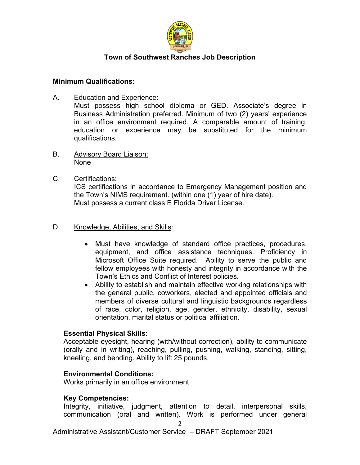

## **Town of Southwest Ranches Job Description**

## **Minimum Qualifications:**

A. Education and Experience:

Must possess high school diploma or GED. Associate's degree in Business Administration preferred. Minimum of two (2) years' experience in an office environment required. A comparable amount of training, education or experience may be substituted for the minimum qualifications.

B. Advisory Board Liaison: None

## C. Certifications:

ICS certifications in accordance to Emergency Management position and the Town's NIMS requirement. (within one (1) year of hire date). Must possess a current class E Florida Driver License.

## D. Knowledge, Abilities, and Skills:

- Must have knowledge of standard office practices, procedures, equipment, and office assistance techniques. Proficiency in Microsoft Office Suite required. Ability to serve the public and fellow employees with honesty and integrity in accordance with the Town's Ethics and Conflict of Interest policies.
- Ability to establish and maintain effective working relationships with the general public, coworkers, elected and appointed officials and members of diverse cultural and linguistic backgrounds regardless of race, color, religion, age, gender, ethnicity, disability, sexual orientation, marital status or political affiliation.

## **Essential Physical Skills:**

Acceptable eyesight, hearing (with/without correction), ability to communicate (orally and in writing), reaching, pulling, pushing, walking, standing, sitting, kneeling, and bending. Ability to lift 25 pounds,

## **Environmental Conditions:**

Works primarily in an office environment.

## **Key Competencies:**

Integrity, initiative, judgment, attention to detail, interpersonal skills, communication (oral and written). Work is performed under general

Administrative Assistant/Customer Service – DRAFT September 2021